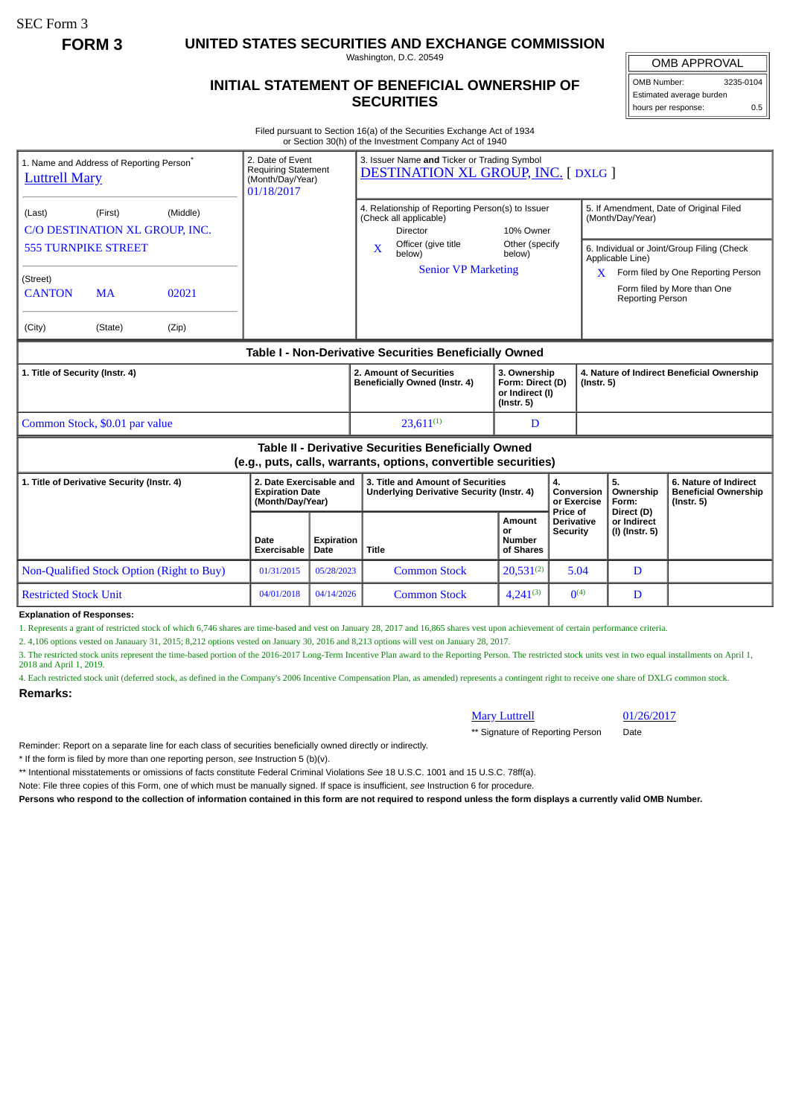SEC Form 3

**FORM 3 UNITED STATES SECURITIES AND EXCHANGE COMMISSION**

Washington, D.C. 20549

## **INITIAL STATEMENT OF BENEFICIAL OWNERSHIP OF SECURITIES**

OMB APPROVAL

OMB Number: 3235-0104 Estimated average burden hours per response: 0.5

Filed pursuant to Section 16(a) of the Securities Exchange Act of 1934 or Section 30(h) of the Investment Company Act of 1940

| 1. Name and Address of Reporting Person <sup>®</sup><br><b>Luttrell Mary</b>                                          |                                                                   | 2. Date of Event<br><b>Requiring Statement</b><br>(Month/Day/Year)<br>01/18/2017 |                     | 3. Issuer Name and Ticker or Trading Symbol<br><b>DESTINATION XL GROUP, INC. [DXLG ]</b> |                     |                                                                                                                                                       |                                                                         |                                      |                                                                          |                                                                                                                                                            |
|-----------------------------------------------------------------------------------------------------------------------|-------------------------------------------------------------------|----------------------------------------------------------------------------------|---------------------|------------------------------------------------------------------------------------------|---------------------|-------------------------------------------------------------------------------------------------------------------------------------------------------|-------------------------------------------------------------------------|--------------------------------------|--------------------------------------------------------------------------|------------------------------------------------------------------------------------------------------------------------------------------------------------|
| (Last)<br><b>555 TURNPIKE STREET</b><br>(Street)<br><b>CANTON</b><br>(City)                                           | (First)<br>C/O DESTINATION XL GROUP, INC.<br><b>MA</b><br>(State) | (Middle)<br>02021<br>(Zip)                                                       |                     |                                                                                          | X                   | 4. Relationship of Reporting Person(s) to Issuer<br>(Check all applicable)<br>Director<br>Officer (give title<br>below)<br><b>Senior VP Marketing</b> | 10% Owner<br>Other (specify<br>below)                                   |                                      | (Month/Day/Year)<br>Applicable Line)<br>X.<br><b>Reporting Person</b>    | 5. If Amendment, Date of Original Filed<br>6. Individual or Joint/Group Filing (Check<br>Form filed by One Reporting Person<br>Form filed by More than One |
| Table I - Non-Derivative Securities Beneficially Owned                                                                |                                                                   |                                                                                  |                     |                                                                                          |                     |                                                                                                                                                       |                                                                         |                                      |                                                                          |                                                                                                                                                            |
| 1. Title of Security (Instr. 4)                                                                                       |                                                                   |                                                                                  |                     |                                                                                          |                     | 2. Amount of Securities<br>Beneficially Owned (Instr. 4)                                                                                              | 3. Ownership<br>Form: Direct (D)<br>or Indirect (I)<br>$($ lnstr. 5 $)$ |                                      | 4. Nature of Indirect Beneficial Ownership<br>$($ Instr. 5 $)$           |                                                                                                                                                            |
| Common Stock, \$0.01 par value                                                                                        |                                                                   |                                                                                  |                     |                                                                                          |                     | $23.611^{(1)}$                                                                                                                                        | D                                                                       |                                      |                                                                          |                                                                                                                                                            |
| Table II - Derivative Securities Beneficially Owned<br>(e.g., puts, calls, warrants, options, convertible securities) |                                                                   |                                                                                  |                     |                                                                                          |                     |                                                                                                                                                       |                                                                         |                                      |                                                                          |                                                                                                                                                            |
| 1. Title of Derivative Security (Instr. 4)                                                                            |                                                                   | 2. Date Exercisable and<br><b>Expiration Date</b><br>(Month/Day/Year)            |                     | 3. Title and Amount of Securities<br><b>Underlying Derivative Security (Instr. 4)</b>    |                     |                                                                                                                                                       | 4.<br>Conversion<br>or Exercise<br>Price of                             | 5.<br>Ownership<br>Form:             | 6. Nature of Indirect<br><b>Beneficial Ownership</b><br>$($ lnstr. 5 $)$ |                                                                                                                                                            |
|                                                                                                                       |                                                                   |                                                                                  | Date<br>Exercisable | Expiration<br>Date                                                                       | Title               |                                                                                                                                                       | Amount<br>or<br><b>Number</b><br>of Shares                              | <b>Derivative</b><br><b>Security</b> | Direct (D)<br>or Indirect<br>(I) (Instr. 5)                              |                                                                                                                                                            |
| Non-Qualified Stock Option (Right to Buy)                                                                             |                                                                   |                                                                                  | 01/31/2015          | 05/28/2023                                                                               |                     | <b>Common Stock</b>                                                                                                                                   | $20,531^{(2)}$                                                          | 5.04                                 | D                                                                        |                                                                                                                                                            |
| <b>Restricted Stock Unit</b>                                                                                          |                                                                   | 04/01/2018                                                                       | 04/14/2026          |                                                                                          | <b>Common Stock</b> | $4.241^{(3)}$                                                                                                                                         | $\Omega$ <sup>(4)</sup>                                                 | D                                    |                                                                          |                                                                                                                                                            |

## **Explanation of Responses:**

1. Represents a grant of restricted stock of which 6,746 shares are time-based and vest on January 28, 2017 and 16,865 shares vest upon achievement of certain performance criteria.

2. 4,106 options vested on Janauary 31, 2015; 8,212 options vested on January 30, 2016 and 8,213 options will vest on January 28, 2017.

3. The restricted stock units represent the time-based portion of the 2016-2017 Long-Term Incentive Plan award to the Reporting Person. The restricted stock units vest in two equal installments on April 1, 2018 and April 1, 2019.

4. Each restricted stock unit (deferred stock, as defined in the Company's 2006 Incentive Compensation Plan, as amended) represents a contingent right to receive one share of DXLG common stock. **Remarks:**

| <b>Mary Luttrell</b> |
|----------------------|

01/26/2017

\*\* Signature of Reporting Person Date

Reminder: Report on a separate line for each class of securities beneficially owned directly or indirectly.

\* If the form is filed by more than one reporting person, *see* Instruction 5 (b)(v).

\*\* Intentional misstatements or omissions of facts constitute Federal Criminal Violations *See* 18 U.S.C. 1001 and 15 U.S.C. 78ff(a).

Note: File three copies of this Form, one of which must be manually signed. If space is insufficient, *see* Instruction 6 for procedure.

**Persons who respond to the collection of information contained in this form are not required to respond unless the form displays a currently valid OMB Number.**